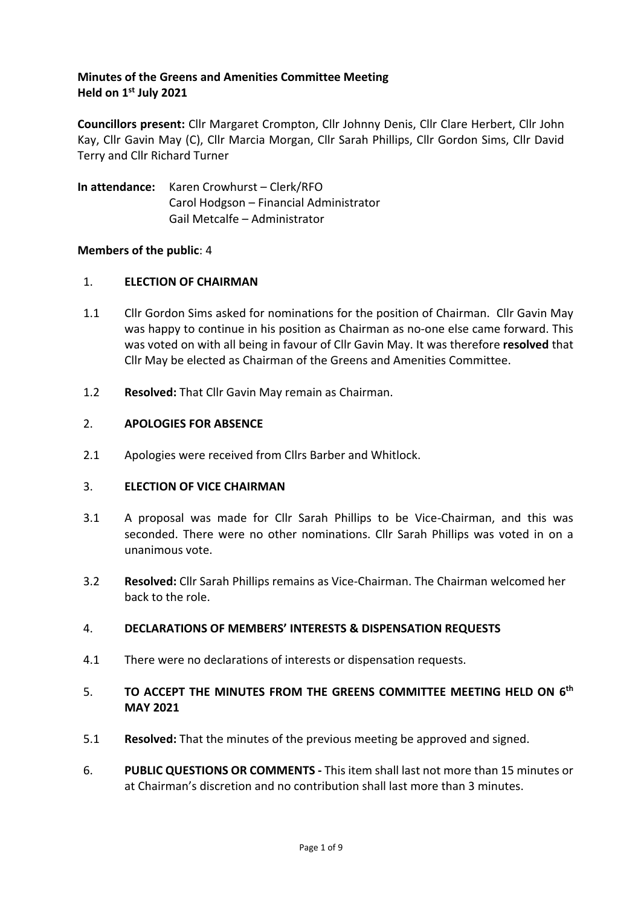## **Minutes of the Greens and Amenities Committee Meeting Held on 1st July 2021**

**Councillors present:** Cllr Margaret Crompton, Cllr Johnny Denis, Cllr Clare Herbert, Cllr John Kay, Cllr Gavin May (C), Cllr Marcia Morgan, Cllr Sarah Phillips, Cllr Gordon Sims, Cllr David Terry and Cllr Richard Turner

**In attendance:** Karen Crowhurst – Clerk/RFO Carol Hodgson – Financial Administrator Gail Metcalfe – Administrator

### **Members of the public**: 4

## 1. **ELECTION OF CHAIRMAN**

- 1.1 Cllr Gordon Sims asked for nominations for the position of Chairman. Cllr Gavin May was happy to continue in his position as Chairman as no-one else came forward. This was voted on with all being in favour of Cllr Gavin May. It was therefore **resolved** that Cllr May be elected as Chairman of the Greens and Amenities Committee.
- 1.2 **Resolved:** That Cllr Gavin May remain as Chairman.

### 2. **APOLOGIES FOR ABSENCE**

2.1 Apologies were received from Cllrs Barber and Whitlock.

### 3. **ELECTION OF VICE CHAIRMAN**

- 3.1 A proposal was made for Cllr Sarah Phillips to be Vice-Chairman, and this was seconded. There were no other nominations. Cllr Sarah Phillips was voted in on a unanimous vote.
- 3.2 **Resolved:** Cllr Sarah Phillips remains as Vice-Chairman. The Chairman welcomed her back to the role.

### 4. **DECLARATIONS OF MEMBERS' INTERESTS & DISPENSATION REQUESTS**

4.1 There were no declarations of interests or dispensation requests.

## 5. **TO ACCEPT THE MINUTES FROM THE GREENS COMMITTEE MEETING HELD ON 6 th MAY 2021**

- 5.1 **Resolved:** That the minutes of the previous meeting be approved and signed.
- 6. **PUBLIC QUESTIONS OR COMMENTS -** This item shall last not more than 15 minutes or at Chairman's discretion and no contribution shall last more than 3 minutes.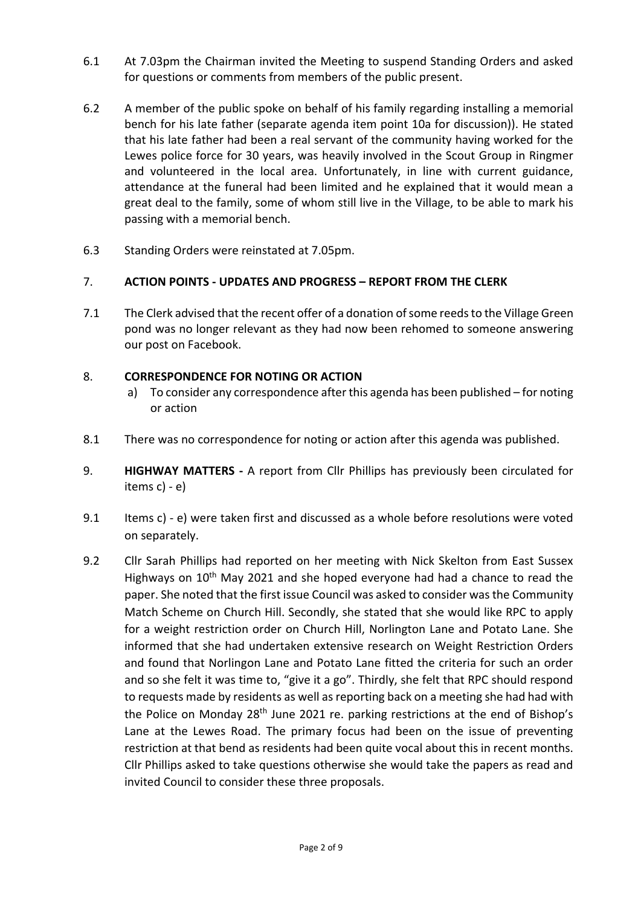- 6.1 At 7.03pm the Chairman invited the Meeting to suspend Standing Orders and asked for questions or comments from members of the public present.
- 6.2 A member of the public spoke on behalf of his family regarding installing a memorial bench for his late father (separate agenda item point 10a for discussion)). He stated that his late father had been a real servant of the community having worked for the Lewes police force for 30 years, was heavily involved in the Scout Group in Ringmer and volunteered in the local area. Unfortunately, in line with current guidance, attendance at the funeral had been limited and he explained that it would mean a great deal to the family, some of whom still live in the Village, to be able to mark his passing with a memorial bench.
- 6.3 Standing Orders were reinstated at 7.05pm.

## 7. **ACTION POINTS - UPDATES AND PROGRESS – REPORT FROM THE CLERK**

7.1 The Clerk advised that the recent offer of a donation of some reeds to the Village Green pond was no longer relevant as they had now been rehomed to someone answering our post on Facebook.

## 8. **CORRESPONDENCE FOR NOTING OR ACTION**

- a) To consider any correspondence after this agenda has been published for noting or action
- 8.1 There was no correspondence for noting or action after this agenda was published.
- 9. **HIGHWAY MATTERS -** A report from Cllr Phillips has previously been circulated for items c) - e)
- 9.1 Items c) e) were taken first and discussed as a whole before resolutions were voted on separately.
- 9.2 Cllr Sarah Phillips had reported on her meeting with Nick Skelton from East Sussex Highways on 10<sup>th</sup> May 2021 and she hoped everyone had had a chance to read the paper. She noted that the first issue Council was asked to consider was the Community Match Scheme on Church Hill. Secondly, she stated that she would like RPC to apply for a weight restriction order on Church Hill, Norlington Lane and Potato Lane. She informed that she had undertaken extensive research on Weight Restriction Orders and found that Norlingon Lane and Potato Lane fitted the criteria for such an order and so she felt it was time to, "give it a go". Thirdly, she felt that RPC should respond to requests made by residents as well as reporting back on a meeting she had had with the Police on Monday 28<sup>th</sup> June 2021 re. parking restrictions at the end of Bishop's Lane at the Lewes Road. The primary focus had been on the issue of preventing restriction at that bend as residents had been quite vocal about this in recent months. Cllr Phillips asked to take questions otherwise she would take the papers as read and invited Council to consider these three proposals.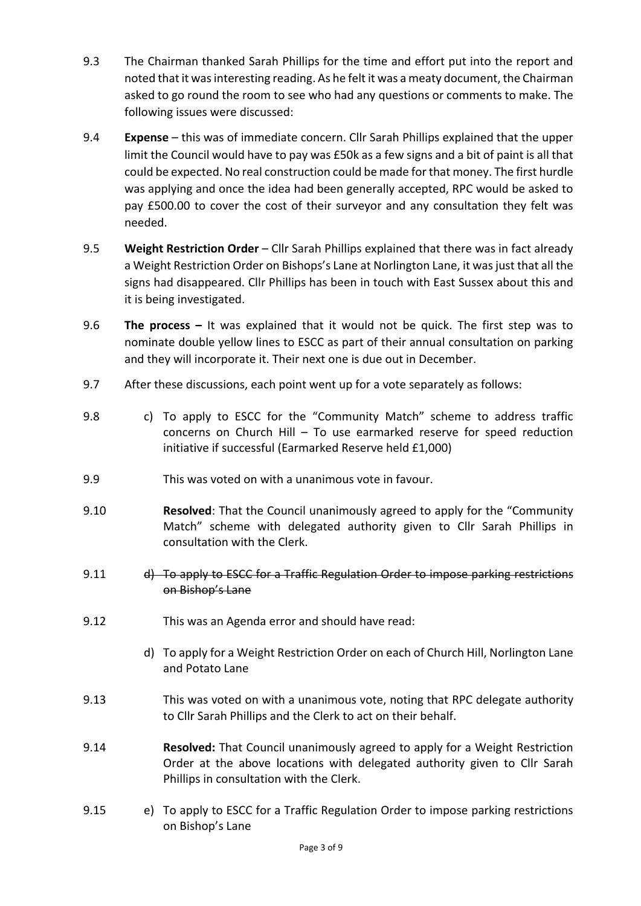- 9.3 The Chairman thanked Sarah Phillips for the time and effort put into the report and noted that it was interesting reading. As he felt it was a meaty document, the Chairman asked to go round the room to see who had any questions or comments to make. The following issues were discussed:
- 9.4 **Expense** this was of immediate concern. Cllr Sarah Phillips explained that the upper limit the Council would have to pay was £50k as a few signs and a bit of paint is all that could be expected. No real construction could be made for that money. The first hurdle was applying and once the idea had been generally accepted, RPC would be asked to pay £500.00 to cover the cost of their surveyor and any consultation they felt was needed.
- 9.5 **Weight Restriction Order** Cllr Sarah Phillips explained that there was in fact already a Weight Restriction Order on Bishops's Lane at Norlington Lane, it was just that all the signs had disappeared. Cllr Phillips has been in touch with East Sussex about this and it is being investigated.
- 9.6 **The process –** It was explained that it would not be quick. The first step was to nominate double yellow lines to ESCC as part of their annual consultation on parking and they will incorporate it. Their next one is due out in December.
- 9.7 After these discussions, each point went up for a vote separately as follows:
- 9.8 c) To apply to ESCC for the "Community Match" scheme to address traffic concerns on Church Hill – To use earmarked reserve for speed reduction initiative if successful (Earmarked Reserve held £1,000)
- 9.9 This was voted on with a unanimous vote in favour.
- 9.10 **Resolved**: That the Council unanimously agreed to apply for the "Community Match" scheme with delegated authority given to Cllr Sarah Phillips in consultation with the Clerk.
- 9.11 d) To apply to ESCC for a Traffic Regulation Order to impose parking restrictions on Bishop's Lane
- 9.12 This was an Agenda error and should have read:
	- d) To apply for a Weight Restriction Order on each of Church Hill, Norlington Lane and Potato Lane
- 9.13 This was voted on with a unanimous vote, noting that RPC delegate authority to Cllr Sarah Phillips and the Clerk to act on their behalf.
- 9.14 **Resolved:** That Council unanimously agreed to apply for a Weight Restriction Order at the above locations with delegated authority given to Cllr Sarah Phillips in consultation with the Clerk.
- 9.15 e) To apply to ESCC for a Traffic Regulation Order to impose parking restrictions on Bishop's Lane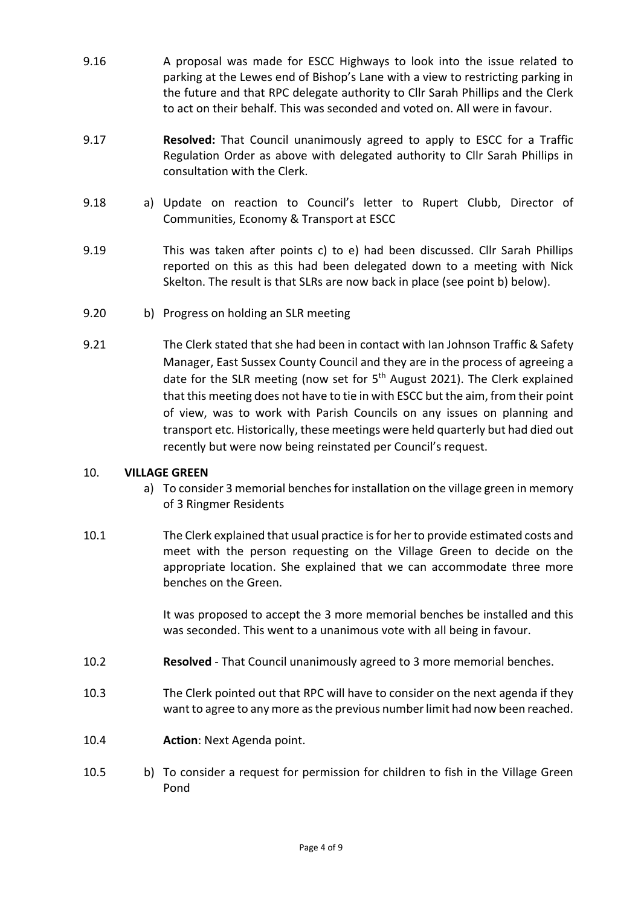- 9.16 A proposal was made for ESCC Highways to look into the issue related to parking at the Lewes end of Bishop's Lane with a view to restricting parking in the future and that RPC delegate authority to Cllr Sarah Phillips and the Clerk to act on their behalf. This was seconded and voted on. All were in favour.
- 9.17 **Resolved:** That Council unanimously agreed to apply to ESCC for a Traffic Regulation Order as above with delegated authority to Cllr Sarah Phillips in consultation with the Clerk.
- 9.18 a) Update on reaction to Council's letter to Rupert Clubb, Director of Communities, Economy & Transport at ESCC
- 9.19 This was taken after points c) to e) had been discussed. Cllr Sarah Phillips reported on this as this had been delegated down to a meeting with Nick Skelton. The result is that SLRs are now back in place (see point b) below).
- 9.20 b) Progress on holding an SLR meeting
- 9.21 The Clerk stated that she had been in contact with Ian Johnson Traffic & Safety Manager, East Sussex County Council and they are in the process of agreeing a date for the SLR meeting (now set for  $5<sup>th</sup>$  August 2021). The Clerk explained that this meeting does not have to tie in with ESCC but the aim, from their point of view, was to work with Parish Councils on any issues on planning and transport etc. Historically, these meetings were held quarterly but had died out recently but were now being reinstated per Council's request.

### 10. **VILLAGE GREEN**

- a) To consider 3 memorial benches for installation on the village green in memory of 3 Ringmer Residents
- 10.1 The Clerk explained that usual practice is for her to provide estimated costs and meet with the person requesting on the Village Green to decide on the appropriate location. She explained that we can accommodate three more benches on the Green.

It was proposed to accept the 3 more memorial benches be installed and this was seconded. This went to a unanimous vote with all being in favour.

- 10.2 **Resolved** That Council unanimously agreed to 3 more memorial benches.
- 10.3 The Clerk pointed out that RPC will have to consider on the next agenda if they want to agree to any more as the previous number limit had now been reached.
- 10.4 **Action**: Next Agenda point.
- 10.5 b) To consider a request for permission for children to fish in the Village Green Pond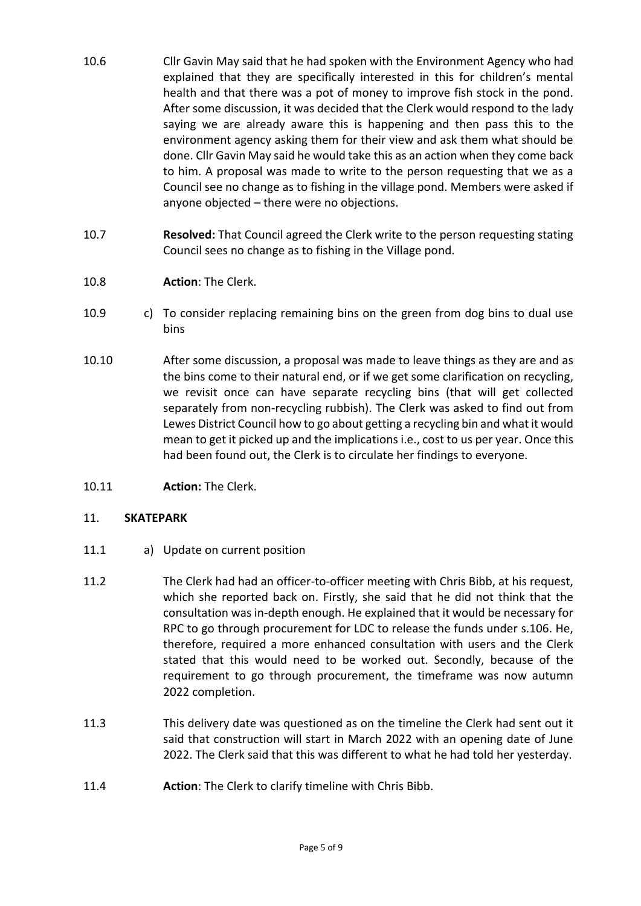- 10.6 Cllr Gavin May said that he had spoken with the Environment Agency who had explained that they are specifically interested in this for children's mental health and that there was a pot of money to improve fish stock in the pond. After some discussion, it was decided that the Clerk would respond to the lady saying we are already aware this is happening and then pass this to the environment agency asking them for their view and ask them what should be done. Cllr Gavin May said he would take this as an action when they come back to him. A proposal was made to write to the person requesting that we as a Council see no change as to fishing in the village pond. Members were asked if anyone objected – there were no objections.
- 10.7 **Resolved:** That Council agreed the Clerk write to the person requesting stating Council sees no change as to fishing in the Village pond.
- 10.8 **Action**: The Clerk.
- 10.9 c) To consider replacing remaining bins on the green from dog bins to dual use bins
- 10.10 After some discussion, a proposal was made to leave things as they are and as the bins come to their natural end, or if we get some clarification on recycling, we revisit once can have separate recycling bins (that will get collected separately from non-recycling rubbish). The Clerk was asked to find out from Lewes District Council how to go about getting a recycling bin and what it would mean to get it picked up and the implications i.e., cost to us per year. Once this had been found out, the Clerk is to circulate her findings to everyone.
- 10.11 **Action:** The Clerk.

#### 11. **SKATEPARK**

- 11.1 a) Update on current position
- 11.2 The Clerk had had an officer-to-officer meeting with Chris Bibb, at his request, which she reported back on. Firstly, she said that he did not think that the consultation was in-depth enough. He explained that it would be necessary for RPC to go through procurement for LDC to release the funds under s.106. He, therefore, required a more enhanced consultation with users and the Clerk stated that this would need to be worked out. Secondly, because of the requirement to go through procurement, the timeframe was now autumn 2022 completion.
- 11.3 This delivery date was questioned as on the timeline the Clerk had sent out it said that construction will start in March 2022 with an opening date of June 2022. The Clerk said that this was different to what he had told her yesterday.
- 11.4 **Action**: The Clerk to clarify timeline with Chris Bibb.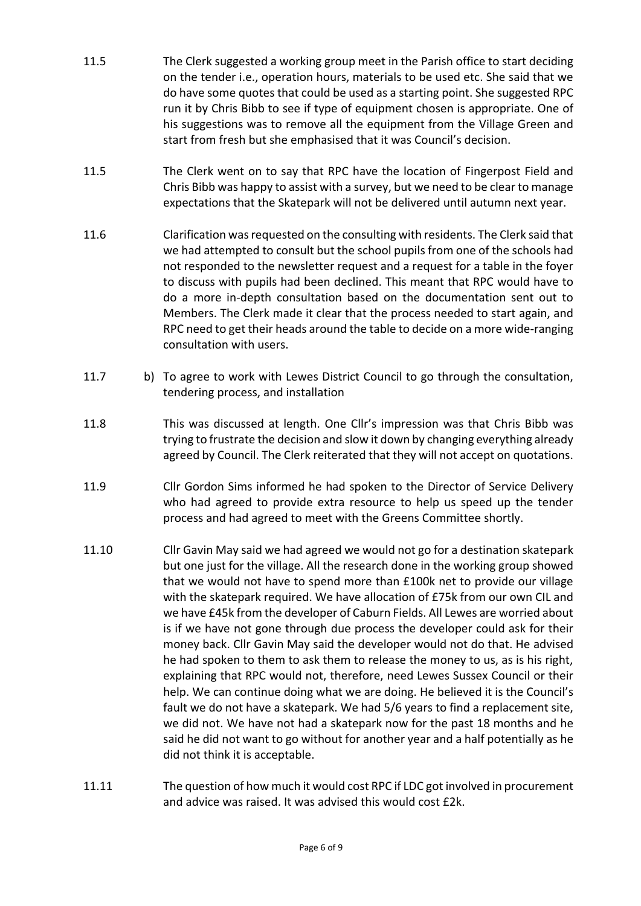- 11.5 The Clerk suggested a working group meet in the Parish office to start deciding on the tender i.e., operation hours, materials to be used etc. She said that we do have some quotes that could be used as a starting point. She suggested RPC run it by Chris Bibb to see if type of equipment chosen is appropriate. One of his suggestions was to remove all the equipment from the Village Green and start from fresh but she emphasised that it was Council's decision.
- 11.5 The Clerk went on to say that RPC have the location of Fingerpost Field and Chris Bibb was happy to assist with a survey, but we need to be clear to manage expectations that the Skatepark will not be delivered until autumn next year.
- 11.6 Clarification was requested on the consulting with residents. The Clerk said that we had attempted to consult but the school pupils from one of the schools had not responded to the newsletter request and a request for a table in the foyer to discuss with pupils had been declined. This meant that RPC would have to do a more in-depth consultation based on the documentation sent out to Members. The Clerk made it clear that the process needed to start again, and RPC need to get their heads around the table to decide on a more wide-ranging consultation with users.
- 11.7 b) To agree to work with Lewes District Council to go through the consultation, tendering process, and installation
- 11.8 This was discussed at length. One Cllr's impression was that Chris Bibb was trying to frustrate the decision and slow it down by changing everything already agreed by Council. The Clerk reiterated that they will not accept on quotations.
- 11.9 Cllr Gordon Sims informed he had spoken to the Director of Service Delivery who had agreed to provide extra resource to help us speed up the tender process and had agreed to meet with the Greens Committee shortly.
- 11.10 Cllr Gavin May said we had agreed we would not go for a destination skatepark but one just for the village. All the research done in the working group showed that we would not have to spend more than £100k net to provide our village with the skatepark required. We have allocation of £75k from our own CIL and we have £45k from the developer of Caburn Fields. All Lewes are worried about is if we have not gone through due process the developer could ask for their money back. Cllr Gavin May said the developer would not do that. He advised he had spoken to them to ask them to release the money to us, as is his right, explaining that RPC would not, therefore, need Lewes Sussex Council or their help. We can continue doing what we are doing. He believed it is the Council's fault we do not have a skatepark. We had 5/6 years to find a replacement site, we did not. We have not had a skatepark now for the past 18 months and he said he did not want to go without for another year and a half potentially as he did not think it is acceptable.
- 11.11 The question of how much it would cost RPC if LDC got involved in procurement and advice was raised. It was advised this would cost £2k.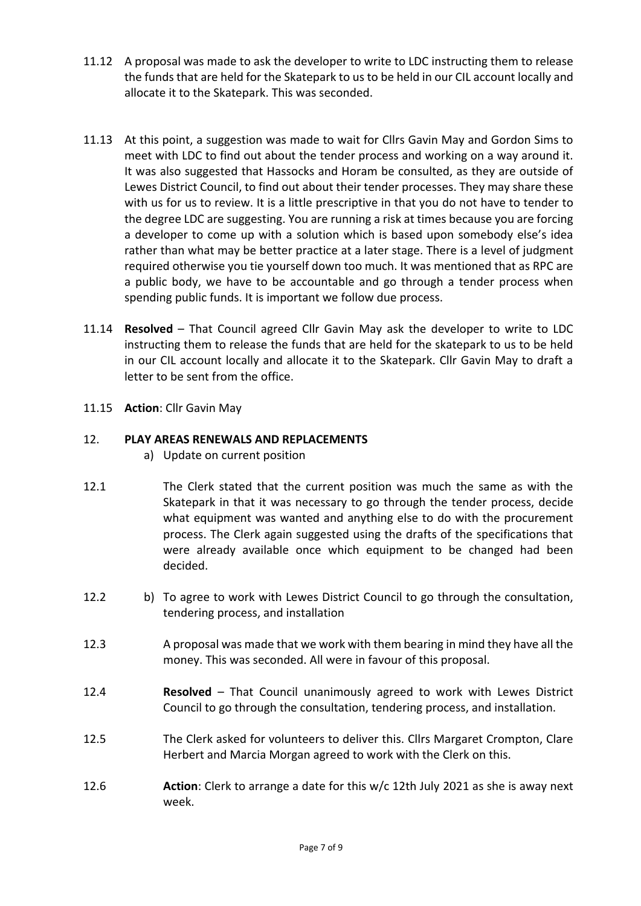- 11.12 A proposal was made to ask the developer to write to LDC instructing them to release the funds that are held for the Skatepark to us to be held in our CIL account locally and allocate it to the Skatepark. This was seconded.
- 11.13 At this point, a suggestion was made to wait for Cllrs Gavin May and Gordon Sims to meet with LDC to find out about the tender process and working on a way around it. It was also suggested that Hassocks and Horam be consulted, as they are outside of Lewes District Council, to find out about their tender processes. They may share these with us for us to review. It is a little prescriptive in that you do not have to tender to the degree LDC are suggesting. You are running a risk at times because you are forcing a developer to come up with a solution which is based upon somebody else's idea rather than what may be better practice at a later stage. There is a level of judgment required otherwise you tie yourself down too much. It was mentioned that as RPC are a public body, we have to be accountable and go through a tender process when spending public funds. It is important we follow due process.
- 11.14 **Resolved** That Council agreed Cllr Gavin May ask the developer to write to LDC instructing them to release the funds that are held for the skatepark to us to be held in our CIL account locally and allocate it to the Skatepark. Cllr Gavin May to draft a letter to be sent from the office.
- 11.15 **Action**: Cllr Gavin May

## 12. **PLAY AREAS RENEWALS AND REPLACEMENTS**

- a) Update on current position
- 12.1 The Clerk stated that the current position was much the same as with the Skatepark in that it was necessary to go through the tender process, decide what equipment was wanted and anything else to do with the procurement process. The Clerk again suggested using the drafts of the specifications that were already available once which equipment to be changed had been decided.
- 12.2 b) To agree to work with Lewes District Council to go through the consultation, tendering process, and installation
- 12.3 A proposal was made that we work with them bearing in mind they have all the money. This was seconded. All were in favour of this proposal.
- 12.4 **Resolved** That Council unanimously agreed to work with Lewes District Council to go through the consultation, tendering process, and installation.
- 12.5 The Clerk asked for volunteers to deliver this. Cllrs Margaret Crompton, Clare Herbert and Marcia Morgan agreed to work with the Clerk on this.
- 12.6 **Action**: Clerk to arrange a date for this w/c 12th July 2021 as she is away next week.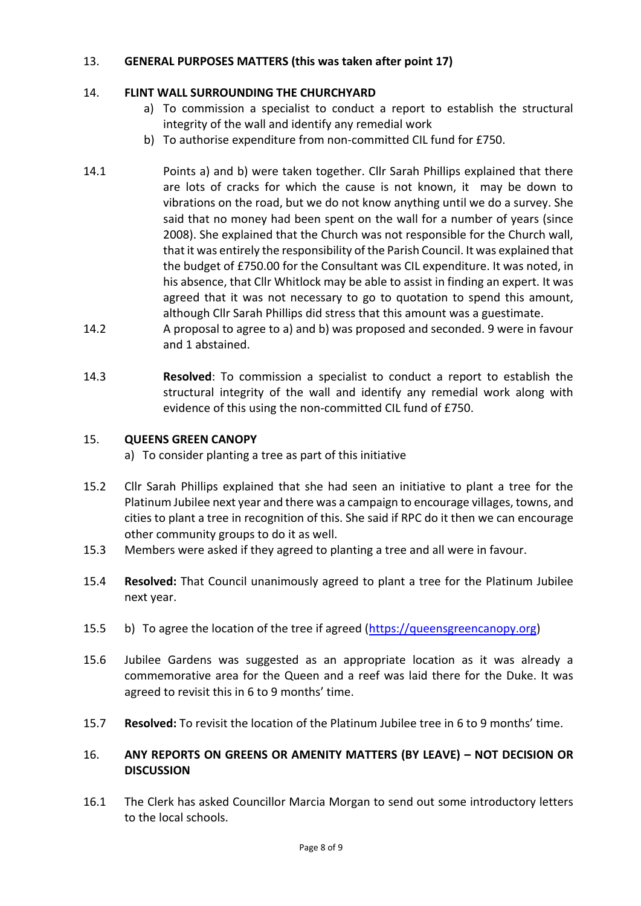## 13. **GENERAL PURPOSES MATTERS (this was taken after point 17)**

## 14. **FLINT WALL SURROUNDING THE CHURCHYARD**

- a) To commission a specialist to conduct a report to establish the structural integrity of the wall and identify any remedial work
- b) To authorise expenditure from non-committed CIL fund for £750.
- 14.1 Points a) and b) were taken together. Cllr Sarah Phillips explained that there are lots of cracks for which the cause is not known, it may be down to vibrations on the road, but we do not know anything until we do a survey. She said that no money had been spent on the wall for a number of years (since 2008). She explained that the Church was not responsible for the Church wall, that it was entirely the responsibility of the Parish Council. It was explained that the budget of £750.00 for the Consultant was CIL expenditure. It was noted, in his absence, that Cllr Whitlock may be able to assist in finding an expert. It was agreed that it was not necessary to go to quotation to spend this amount, although Cllr Sarah Phillips did stress that this amount was a guestimate.
- 14.2 A proposal to agree to a) and b) was proposed and seconded. 9 were in favour and 1 abstained.
- 14.3 **Resolved**: To commission a specialist to conduct a report to establish the structural integrity of the wall and identify any remedial work along with evidence of this using the non-committed CIL fund of £750.

### 15. **QUEENS GREEN CANOPY**

a) To consider planting a tree as part of this initiative

- 15.2 Cllr Sarah Phillips explained that she had seen an initiative to plant a tree for the Platinum Jubilee next year and there was a campaign to encourage villages, towns, and cities to plant a tree in recognition of this. She said if RPC do it then we can encourage other community groups to do it as well.
- 15.3 Members were asked if they agreed to planting a tree and all were in favour.
- 15.4 **Resolved:** That Council unanimously agreed to plant a tree for the Platinum Jubilee next year.
- 15.5 b) To agree the location of the tree if agreed [\(https://queensgreencanopy.org\)](https://queensgreencanopy.org/)
- 15.6 Jubilee Gardens was suggested as an appropriate location as it was already a commemorative area for the Queen and a reef was laid there for the Duke. It was agreed to revisit this in 6 to 9 months' time.
- 15.7 **Resolved:** To revisit the location of the Platinum Jubilee tree in 6 to 9 months' time.

## 16. **ANY REPORTS ON GREENS OR AMENITY MATTERS (BY LEAVE) – NOT DECISION OR DISCUSSION**

16.1 The Clerk has asked Councillor Marcia Morgan to send out some introductory letters to the local schools.